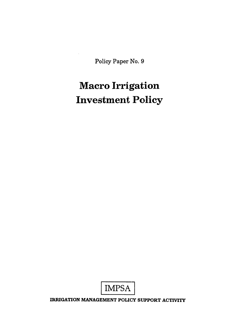Policy Paper No. **9** 

# **Macro Irrigation Investment Policy**



IRRIGATION **MANAGEMENT** POLICY SUPPORT ACTIVITY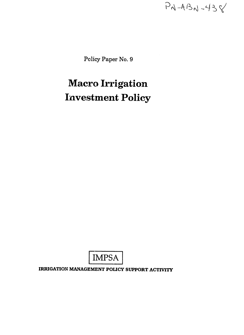$P_{N-A}B_{N}-438$ 

Policy Paper No. **9** 

# **Macro Irrigation Investment Policy**



**IRRIGATION MANAGEMENT POLICY SUPPORT ACTIVITY**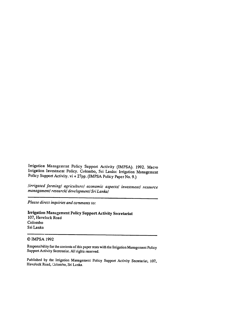Irrigation Management Policy Support Activity (IMPSA). 1992. Macro Irrigation Investment Policy. Colombo, Sri Lanka: Irrigation Management Policy Support Activity. vi **+ 27pp. (IMPSA** Policy Paper No. 9.)

lirrigated farmingi agricu *lturel economic aspects/ investment/ resource*  managementi research/ *development/SriLankal* 

Please *directinquiriesand* comments *to:* 

Irrigation Management Policy Support Activity Secretariat 107, Havelock Road Colombo Sri Lanka

#### © IMPSA 1992

Responsibility for the contents of this paper rests with the Irrigation Management Policy Support Activity Secretariat. **AI** rights reserved.

Published by the Irrigation Management Policy Support Activity Secretariat, **107,**  Havelock Road, 2olombo, Sri Lanka.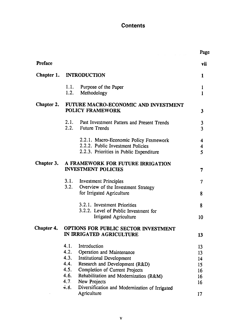# **Contents**

|                |                                                                            |                                                                                                                        | Page              |
|----------------|----------------------------------------------------------------------------|------------------------------------------------------------------------------------------------------------------------|-------------------|
| <b>Preface</b> |                                                                            |                                                                                                                        | vii               |
|                | Chapter 1. INTRODUCTION                                                    |                                                                                                                        |                   |
|                | 1.2.                                                                       | 1.1. Purpose of the Paper<br>Methodology                                                                               | 1<br>$\mathbf{1}$ |
|                | Chapter 2. FUTURE MACRO-ECONOMIC AND INVESTMENT<br><b>POLICY FRAMEWORK</b> |                                                                                                                        |                   |
|                |                                                                            | 2.1. Past Investment Pattern and Present Trends<br>2.2. Future Trends                                                  | 3<br>3            |
|                |                                                                            | 2.2.1. Macro-Economic Policy Framework<br>2.2.2. Public Investment Policies<br>2.2.3. Priorities in Public Expenditure | 4<br>4<br>5       |
| Chapter 3.     | A FRAMEWORK FOR FUTURE IRRIGATION<br><b>INVESTMENT POLICIES</b>            |                                                                                                                        |                   |
|                |                                                                            | 3.1. Investment Principles                                                                                             | 7                 |
|                | 3.2.                                                                       | Overview of the Investment Strategy<br>for Irrigated Agriculture                                                       | 8                 |
|                |                                                                            | 3.2.1. Investment Priorities<br>3.2.2. Level of Public Investment for                                                  | 8                 |
|                |                                                                            | Irrigated Agriculture                                                                                                  | 10                |
| Chapter 4.     | OPTIONS FOR PUBLIC SECTOR INVESTMENT<br>IN IRRIGATED AGRICULTURE           |                                                                                                                        |                   |
|                | 4.1.                                                                       | Introduction                                                                                                           | 13                |
|                | 4.2.                                                                       | Operation and Maintenance                                                                                              | 13                |
|                | 4.3.                                                                       | <b>Institutional Development</b>                                                                                       | 14                |
|                | 4.4.                                                                       | Research and Development (R&D)                                                                                         | 15                |
|                | 4.5.                                                                       | <b>Completion of Current Projects</b>                                                                                  | 16                |
|                | 4.6.                                                                       | Rehabilitation and Modernization (R&M)                                                                                 | 16                |
|                | 4.7.<br>4.8.                                                               | New Projects<br>Diversification and Modernization of Irrigated                                                         | 16                |
|                |                                                                            | Agriculture                                                                                                            | 17                |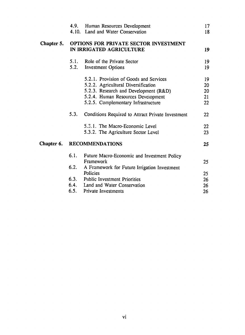|            |                                                                          | 4.9. Human Resources Development<br>4.10. Land and Water Conservation                                                                                                                               | 17<br>18                   |
|------------|--------------------------------------------------------------------------|-----------------------------------------------------------------------------------------------------------------------------------------------------------------------------------------------------|----------------------------|
| Chapter 5. | <b>OPTIONS FOR PRIVATE SECTOR INVESTMENT</b><br>IN IRRIGATED AGRICULTURE |                                                                                                                                                                                                     |                            |
|            |                                                                          | 5.1. Role of the Private Sector<br>5.2. Investment Options                                                                                                                                          | 19<br>19                   |
|            |                                                                          | 5.2.1. Provision of Goods and Services<br>5.2.2. Agricultural Diversification<br>5.2.3. Research and Development (R&D)<br>5.2.4. Human Resources Development<br>5.2.5. Complementary Infrastructure | 19<br>20<br>20<br>21<br>22 |
|            | 5.3.                                                                     | Conditions Required to Attract Private Investment                                                                                                                                                   | 22                         |
|            |                                                                          | 5.3.1. The Macro-Economic Level<br>5.3.2. The Agriculture Sector Level                                                                                                                              | 22<br>23                   |
| Chapter 6. | <b>RECOMMENDATIONS</b>                                                   |                                                                                                                                                                                                     |                            |
|            | 6.1.<br>6.2.                                                             | Future Macro-Economic and Investment Policy<br>Framework<br>A Framework for Future Irrigation Investment                                                                                            | 25                         |
|            |                                                                          | Policies                                                                                                                                                                                            | 25                         |
|            |                                                                          | 6.3. Public Investment Priorities                                                                                                                                                                   | 26                         |
|            |                                                                          | 6.4. Land and Water Conservation                                                                                                                                                                    | 26                         |
|            |                                                                          | 6.5. Private Investments                                                                                                                                                                            | 26                         |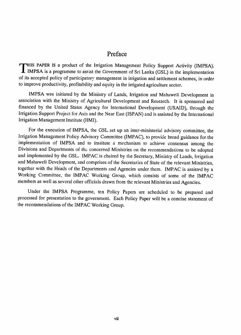# Preface

**HIS** PAPER **IS** a product of the Irrigation Management Policy Support Activity (IMPSA). IMPSA is a programme to assist the Government of Sri Lanka (GSL) in the implementation of its accepted policy of participatory management in irrigation and settlement schemes, in order to improve productivity, profitability and equity in the irrigated agriculture sector.

IMPSA was initiated by the Ministry of Lands, Irrigation and Mahaweli Development in association with the Ministry of Agricultural Development and Research. It is sponsored and financed by the United States Agency for International Development (USAID), through the Irrigation Support Project for Asia and the Near East (ISPAN) and is assisted by the International Irrigation Management Institute (IIMI).

For the execution of IMPSA, the GSL set up an inter-ministerial advisory committee, the Irrigation Management Policy Advisory Committee (IMPAC), to provide broad guidance for the implementation of IMPSA and to institute a mechanism to achieve consensus among the Divisions and Departments of the concerned Ministries on the recommendations to be adopted and implemented by the GSL. IMPAC is chaired by the Secretary, Ministry of Lands, Irrigation and Mahaweli Development, and comprises of the Secretaries of State of the relevant Ministries, together with the Heads of the Departments and Agencies under them. IMPAC is assisted by a Working Committee, the IMPAC Working Group, which consists of some of the IMPAC members as well as several other officials drawn from the relevant Ministries and Agencies.

Under the IMPSA Programme, ten Policy Papers are scheduled to be prepared and processed for presentation to the government. Each Policy Paper will be a concise statement of the recommendations of the IMPAC Working Group.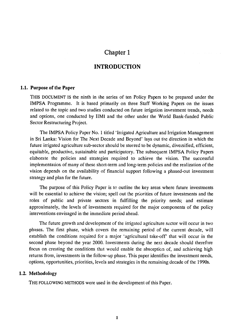## **INTRODUCTION**

#### **1.1. Purpose of the Paper**

**THIS DOCUMENT IS** the ninth in ihe series of ten Policy Papers to be prepared under the **IMPSA** Programme. It is based primarily on three Staff Working Papers on the issues related to the topic and two studies conducted on future irrigation investment trends, needs and options, one conducted **by** IIMI and the other under the World Bank-funded Public Sector Restructuring Project.

The IMPSA Policy Paper No. 1 titled 'Irrigated Agriculture and Irrigation Management in Sri Lanka: Vision for The Next Decade and Beyond' lays out the direction in which the future irrigated agriculture sub-sector should be steered to be dynamic, diversified, efficient, equitable, productive, sustainable and participatory. The subsequent IMPSA Policy Papers elaborate the policies and strategies required to achieve the vision. The successful implementation of many of these short-term and long-term policies and the realization of the vision depends on the availability of financial support following a phased-out investment strategy and plan for the future.

The purpose of this Policy Paper is to outline the key areas where future investments will be essential to achieve the vision; spell out the priorities of future investments and the roles of public and private sectors in fulfilling the priority needs; and estimate approximately, the levels of investments required for the major components of the policy interventions envisaged in the immediate period ahead.

The future growth and development of the irrigated agriculture sector will occur in two phases. The first phase, which covers the remaining period of the current decade, will establish the conditions required for a major 'agricultural take-off' that will occur in the second phase beyond the year 2000. Investments during the next decade should therefore focus on creating the conditions that would enable the absorption of, and achieving high returns from, investments in the follow-up phase. This paper identifies the investment needs, options, opportunities, priorities, levels and strategies in the remaining decade of the 1990s.

#### 1.2. Methodology

THE FOLLOWING METHODS were used in the development of this Paper.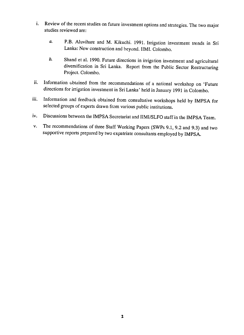- **i.** Review of the recent studies on future investment options and strategies. The two major studies reviewed are:
	- *a.*  P.B. Aluvihare and M. Kikuchi. 1991. Irrigation investment trends in Sri Lanka: New construction and beyond. IIMI. Colombo.
	- **b.**  Shand et al. 1990. Future directions in irrigation investment and agricultural diversification in Sri Lanka. Report from the Public Sector Restructuring Project. Colombo.
- ii. Information obtained from the recommendations of a national workshop on 'Future directions for irrigation investment in Sri Lanka' held in January 1991 in Colombo.
- iii. Information and feedback obtained from consultative workshops held by IMPSA for selected groups of experts drawn from various public institutions.
- iv. Discussions between the IMPSA Secretariat and IIMI/SLFO staff in the IMPSA Team.
- v. The recommendations of three Staff Working Papers (SWPs 9.1, 9.2 and 9.3) and two supportive reports prepared by two expatriate consultants employed by IMPSA.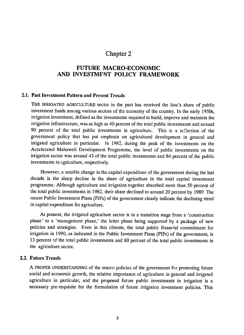# **FUTURE** MACRO-ECONOMIC **AND INVESTMFNT POLICY FRAMEWORK**

#### 2.1. **Past** Investment **Pattern** and Present Trends

THE IRRIGATED AGRICULTURE sector in the past has received the lion's share of public investment funds among various sectors of the economy of the country. In the early 1950s, irrigation investment, defined as the investments required to build, improve and maintain the irrigation infrastructure, was as high as 40 percent of the total public investments and around 90 percent of the total public investments in agriculture. This is a reflection of the government policy that has put emphasis on agricultural development in general and irrigated agriculture in particular. In 1982, during the peak of the investments on the Accelerated Mahaweli Development Programme, the level of public investments on the irrigation sector was around 43 of the total public investments and 84 percent of the public investments in agriculture, respectively.

However, a notable change in the capital expenditure of the government during the last decade is the sharp decline in the share of agriculture in the total capital investment programme. Although agriculture and irrigation together absorbed more than 50 percent of the total public investments in 1982, their share declined to around 20 percent by 1989. The recent Public Investment Plans (PIPs) of the government clearly indicate the declining trend in capital expenditure for agriculture.

At present, the irrigated agriculture sector is in a transition stage from a 'construction phase' to a 'management phase,' the latter phase being supported by a package of new policies and strategies. Even in this climate, the total public financial commitment for irrigation in 1990, as indicated in the Public Investment Plans (PIPs) of the government, is 13 percent of the total public investments and 60 percent of the total public investments in the agriculture sector.

#### 2.2. Future Trends

**A** PROPER UNDERSTANDING of the macro policies of the government for promoting future social and economic growth, the relative importance of agriculture in general and irrigated agriculture in particular, and the proposed future public investments in irrigation is a necessary pre-requisite for the formulation of future irrigation investment policies. This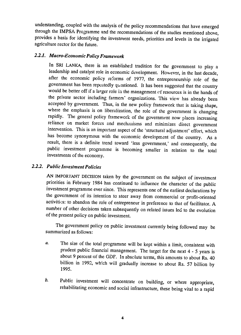understanding, coupled with the analysis of the policy recommendations that have emerged through the IMPSA Programme and the recommendations of the studies mentioned above, provides a basis for identifying the investment needs, priorities and levels in the irrigated agriculture sector for the future.

## *2.2.1. Macro-Economic Policy Framework*

In SRI LANKA, there is an established tradition for the government to play a leadership and catalyst role in economic development. However, in the last decade, after the economic policy reforms of 1977, the entrepreneurship role of the government has been repeatedly questioned. It has been suggested that the country would be better off if a larger role in the management **of** resources is in the hands of the private sector including farmers' organizations. This view has already been accepted by government. Thus, in the new policy framework that is taking shape, where the emphasis is on liberalization, the role of the government is changing rapidly. The general policy framework of the government now places increasing reliance on market forces and mechanisms and minimizes direct government intervention. This is an important aspect of the 'structural adjustment' effort, which has become synonymous with the economic development of the country. As a result, there is a definite trend toward 'less government,' and consequently, the public investment programme is becoming smaller in relation to the total investments of the economy.

## 2.2.2. Public Investment Policies

AN IMPORTANT DECISION taken by the government on the subject of investment priorities in February 1984 has continued to influence the character of the public investment programme ever since. This represents one of the earliest declarations by the government of its intention to steer away from commercial or profit-oriented activities: to abandon the role of entrepreneur in preference to that of facilitator. A number of other decisions taken subsequently on related issues led to the evolution of the present policy on public investment.

The government policy on public investment currently being followed may be summarized as follows:

- *a.* The size of the total programine will be kept within a limit, consistent with prudent public financial management. The target for the next 4 - **<sup>5</sup>**years is about 9 percent of the GDF. In absolute terms, this amounts to about Rs. 40 billion in 1992, which will gradually increase to about Rs. 57 billion by 1995.
- *b.*  Public investment will concentrate on building, or where appropriate, rehabilitating economic and social infrastructure, these being vital to a rapid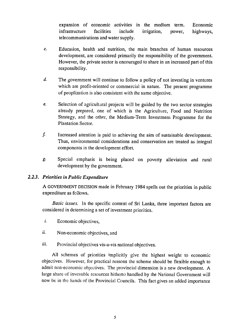expansion of economic activities in the medium term. Economic infrastructure facilities include irrigation, power, highways, telecommunications and water supply.

- C. Education, health and nutrition, the main branches of human resources development, are considered primarily the responsibility of the government. However, the private sector is encouraged to share in an increased part of this responsibility.
- *d.*  The government will continue to follow a policy of not investing in ventures which are profit-oriented or commercial in nature. The present programme of peoplization is also consistent with the same objective.
- *e.*  Selection of agricultaral projects will be guided by the two sector strategies already prepared, one of which is the Agriculture, Food and Nutrition Strategy, and the other, the Medium-Term Investment Programme for the Plantation Sector.
- f. Increased attention is paid to achieving the aim of sustainable development. Thus, environmental considerations and conservation are treated as integral components in the development effort.
- *g.* Special emphasis is being placed on poverty alleviation and rural development by the government.

### *2.2.3. Priorities in Public Expenditure*

**A** GOVERNMENT **DECISION** made in February 1984 spells out the priorities in public expenditure as follows.

*Basic* issues. In the specific context of Sri Lanka, three important factors are considered in determining a set of investment priorities.

- *i.* Economic objectives,
- *ii.* Non-economic objectives, and
- *iii.*  Provincial objectives vis-a-vis national objectives.

All schemes of priorities implicitly give the highest weight to economic objectives. However, for practical reasons the scheme should be flexible enough to admit non-economic objectives. The provincial dimension is a new development. A large share of investible resources hitherto handled by the National Government will now be in the hands of the Provincial Councils. This fact gives an added importance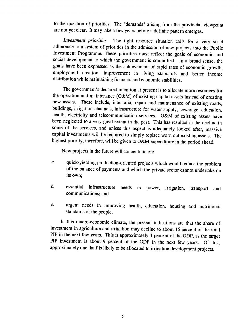to the question of priorities. The "demands" arising from the provincial viewpoint are not yet clear. It may take a few years before a definite pattern emerges.

*Investment priorities.* The tight resource situation calls for a very strict adherence to a system of priorities in the admission of new projects into the Public Investment Programme. These priorities must reflect the goals of economic and social development to which the government is committed. In a broad sense, the goals have been expressed as the achievement of rapid rates of economic growth, employment creation, improvement in living standards and better income distribution while maintaining financial and economic stabilities.

The government's declared intention at present is to allocate more resources for the operation and maintenance (O&M) of existing capital assets instead of creating new assets. These include, inter alia, repair and maintenance of existing roads, buildings, irrigation channels, infrastructure for water supply, sewerage, education, health, electricity and telecommunication services. O&M of existing assets have been neglected to a very great extent in the past. This has resulted in the decline in some of the services, and unless this aspect is adequately looked after, massive capital investments will be required to simply replace worn out existing assets. The highest priority, therefore, will be given to O&M expenditure in the period ahead.

New projects in the future will concentrate on:

- *a.*  quick-yielding production-oriented projects which would reduce the problem of the balance of payments and which the private sector cannot undertake on its own;
- *b.*  essential infrastructure needs in power, irrigation, transport and communications; and
- c. urgent needs in improving health, education, housing and nutritional standards of the people.

In this macro-economic climate, the present indications are that the share of investment in agriculture and irrigation may decline to about 15 percent of the total PIP in the next few years. This is approximately **1** percent of the **GDP,** as the target PIP investment is about 9 percent of the GDP in the next few years. Of this, approximately one half is likely to be allocated to irrigation development projects.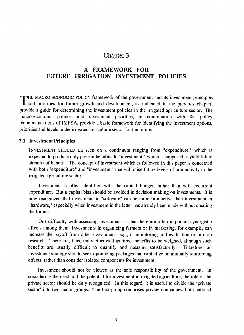# **A FRAMEWORK FOR** FUTURE IRRIGATION INVESTMENT POLICIES

THE MACRO-ECONOMIC POLICY framework of the government and its investment principles and priorities for future growth and development, as indicated in the previous chapter, provide a guide for determining the investment policies in the irrigated agriculture sector. The macro-economic policies and investment priorities, in combination with the policy recommendations of IMPSA, provide a basic framework for identifying the investment options, priorities and levels in the irrigated agricu!ture sector for the future.

#### **3.1.** Investment Principles

 $\mu$  ,  $\mu$  ,  $\mu$  ,  $\mu$  ,  $\mu$  ,  $\mu$  ,  $\mu$  ,  $\mu$  ,  $\mu$ 

INVESTMENT SHOULD BE seen on a continuum ranging from "expenditure," which is expected to produce only present benefits, to "investment," which is supposed to yield future streams of benefit. The concept of investment which is followed in this paper is concerned with both "expenditure" and "investment," that will raise future levels of productivity in the irrigated agriculture sector.

Investment is often identified with the capital budget, rather than with recurrent expenditure. But a capital bias should be avoided in decision making on investments. It is now recognized that investment in "software" can be more productive than investment in "hardware," especially when investment in the latter has already been made without creating the former.

One difficulty with assessing investments is that there are often important synergistic effects among them. Investments in organizing farmers or in marketing, for example, can increase the payoff from other investments, e.g., in monitoring and evaluation or in crop research. There are, thus, indirect as well as direct benefits to be weighed, although such benefits are usually difficult to quantify and measure satisfactorily. Therefore, an investment strategy should seek optimizing packages that capitalize on mutually einforcing effects, rather than consider isolated components for investment.

Investment should not be viewed as the sole responsibility of the government. In considering the need and the potential for investment in irrigated agriculture, the role of the private sector should be duly recognized. In this regard, it is useful to divide the 'private sector' into two major groups. The first group comprises private companies, both national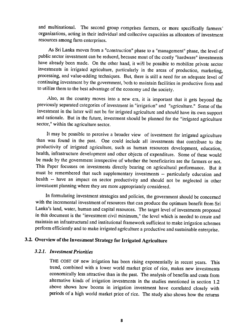and multinational. The second group comprises farmers, or more specifically farmers' organizations, acting in their individual and collective capacities as allocators of investment resources among farm enterprises.

As Sri Lanka moves from a "construction" phase to a "management" phase, the level of public sector investment can be reduced, because most of the costly "hardware" investments have already been made. On the other hand, it will be possible to mobilize private sector investments in irrigated agriculture, particularly in the areas of production, marketing, processing, and value-adding techniques. But, there is still a need for an adequate level of continuing investment **by** the government, both to maintain facilities in productive form and to utilize them to the best advantage of the economy and the society.

Also, as the country moves into a new era, it is important that it gets beyond the previously separated categories of investment in "irrigation" and "agriculture." Some of the investment in the latter will not **be** for irrigated agriculture and should have its own support and rationale. But in the future, investment should be planned for the "irrigated agriculture sector," within the agriculture sector.

It may be possible to perceive a broader view of investment for irrigated agriculture than was found in the past. One could include all investments that contribute to the productivity of irrigated agriculture, such as human resources development, education, health, infrastructure development and other objects of expenditure. Some of these would be made **by** the government irrespective of whether the beneficiaries are the farmers or not. This Paper focusses on investments directly bearing on agricultural performance. But it must be remembered that such supplementary investments **--** particularly education and health **--** have an impact on sector productivity and should not be neglected in other investment planning where they are more appropriately considered.

In formulating investment strategies and policies, the government should be concerned with the incremental investment of resources that can produce the optimum benefit from Sri Lanka's land, water, human and capital resources. The target level of investments proposed in this document is the "investment civil minimum," the level which is needed to create and maintain an infrastructural and institutional framework sufficient to make irrigation schemes perform efficiently and to make irrigated agriculture a productive and sustainable enterprise.

## **3.2. Overview of the Invesiment Strategy for Irrigated Agriculture**

#### *3.2.1. Investment Priorities*

THE **COST** OF new irrigation has been rising exponentially in recent years. This trend, combined with a lower world market price of rice, makes new investments economically less attractive than in the past. The analysis of benefits and costs from alternative kinds of irrigation investments in the studies mentioned in section 1.2 above shows how booms in irrigation investment have correlated closely with periods of a high world market price of rice. The study also shows how the returns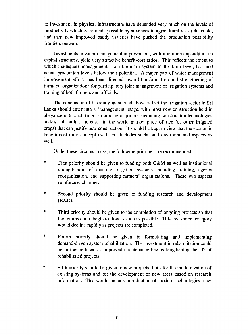to investment in physical infrastructure have depended very much on the levels of productivity which were made possible **by** advances in agricultural research, as old, and then new improved paddy varieties have pushed the production possibility frontiers outward.

Investments in water management improvement, with minimum expenditure on capital structures, yield very attractive benefit-cost ratios. This reflects the extent to which inadequate management, from the main system to the farm level, has held actual production levels below their potential. **A** major part of water management improvement efforts has been directed toward the formation and strengthening of farmers' organizations for participatory joint management of irrigation systems and training of both farmers and officials.

The conclusion of the study mentioned above is that the irrigation sector in Sri Lanka should enter into a "management" stage, with most new construction held in abeyance until such time as there are major cost-reducing construction technologies and/ $\Delta_i$  substantial increases in the world market price of rice (or other irrigated crops) that can justify new construction. It should be kept in view that the economic benefit-cost ratio concept used here includes social and environmental aspects as well.

Under these circumstances, the following priorities are recommended.

- \* First priority should be given to funding both O&M as well as institutional strengthening of existing irrigation systems including training, agency reorganization, and supporting farmers' organizations. These (wo aspects reinforce each other.
- **\***  Second priority should be given to funding research and development (R&D).
- Third priority should be given to the completion of ongoing projects so that the returns could begin to flow as soon as possible. This investment category would decline rapidly as projects are completed.
- $\ddot{\bullet}$ Fourth priority should be given to formulating and implementing demand-driven system rehabilitation. The investment in rehabilitation could be further reduced as improved maintenance begins lengthening the life of rehabilitated projects.
- **\***  Fifth priority should be given to new projects, both for the modernization of existing systems and for the development of new areas based on research information. This would include introduction of modem technologies, new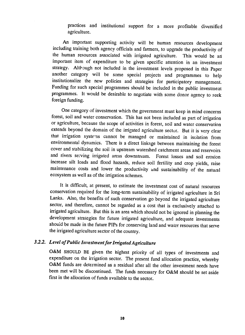practices and institutional support for a more profitable diversified agriculture.

An important supporting activity will be human resources development including training both agency officials and farmers, to upgrade the productivity of the human resources associated with irrigated agriculture. This would be an important item of expenditure to be given specific attention in an investment strategy. Although not included in the investment levels proposed in this Paper another category will be some special projects and programmes to help institutionalize the new policies and strategies for participatory management. Funding for such special programmes should be included in the public investment programmes. It would be desirable to negotiate with some donor agency to seek foreign funding.

One category of investment which the government must keep in mind concerns forest, soil and water conservation. This has not been included as part of irrigation or agriculture, because the scope of activities in forest, soil and water conservation extends beyond the domain of the irrigated agriculture sector. But it is very clear that irrigation systems cannot be managed or maintained in isolation from environmental dynamics. There is a direct linkage between maintaining the forest cover and stabilizing the soil in upstream watershed catchment areas and reservoirs and rivers seving irrigated areas downstream. Forest losses and soil erosion increase silt loads and flood hazards, reduce soil fertility and crop yields, raise maintenance costs and lower the productivity and sustainability of the natural ecosystem as well as of the irrigation schemes.

It is difficult, at present, to estimate the investment cost of natural resources conservation required for the long-term sustainability of irrigated agriculture in Sri Lanka. Also, the benefits of such conservation go beyond the irrigated agriculture sector, and therefore, cannot be regarded as a cost that is exclusively attached to irrigated agriculture. But this is an area which should not be ignored in planning the development strategies for future irrigated agriculture, and adequate investments shouid be made in the future PIPs for conserving land and water resources that serve the irrigated agriculture sector of the country.

## *3.2.2. Level ofPublic Investment for IrrigatedAgriculture*

O&M **SHOULD BE** given the highest priority of all types of investments and expenditure on the irrigation sector. The present fund allocation practice, whereby O&M funds are determined as a residual after all the other investment needs have been met will be discontinued. The funds necessary for O&M should be set aside first in the allocation of funds available to the sector.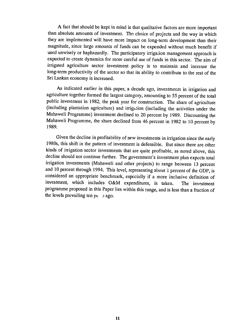A fact that should be kept in mind is that qualitative factors are more important than absolute amounts of investment. The choice of projects and the way in which they are implemented will have more impact on long-term development than their magnitude, since large amounts of funds can be expended without much benefit if used unwisely or haphazardly. The participatory irrigation management approach is expected to create dynamics for more careful use of funds in this sector. The aim of irrigated agriculture sector investment policy is to maintain and increase the long-term productivity of the sector so that its ability to contribute to the rest of the Sri Lankan economy is increased.

As indicated earlier in this paper, a decade ago, investments in irrigation and agriculture together formed the largest category, amounting to 55 percent of the total public investment in 1982, the peak year for construction. The share of agriculture (including plantation agriculture) and irrigation (including the activities under the Mahaweli Programme) investment declined to 20 percent by 1989. Discounting the Mahaweli Programme, the share declined from 46 percent in 1982 to 10 percent by 1989.

Given the decline in profitability of new investments in irrigation since the early 1980s, this shift in the pattern of investment is defensible. But since there are other kinds of irrigation sector investments that are quite profitable, as noted above, this decline should not continue further. The government's investment plan expects total irrigation investments (Mahaweli and other projects) to range between 13 percent and 10 percent through 1994. This level, representing about **I** percent of the GDP, is considered an appropriate benchmark, especially if a more inclusive definition of investment, which includes O&M expenditures, is taken. The investment programme proposed in this Paper lies within this range, and is less than a fraction of the levels prevailing ten ye *s* ago.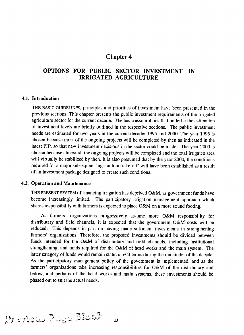# **OPTIONS FOR PUBLIC SECTOR INVESTMENT IN IRRIGATED AGRICULTURE**

#### **4.1. Introduction**

THE BASIC GUIDELINES, principles and priorities of investment have been presented in the previous sections. This chapter presents the public investment requirements of the irrigated agriculture sector for the current decade. The basic assumptions that underlie the estimation of investment levels are briefly outlined in the respective sections. The public investment needs are estimated for two years in the current decade: 1995 and 2000. The year 1995 is chosen because most of the ongoing projects will be completed by then as indicated in the latest PIP, so that new investment decisions in the sector could be made. The year 2000 is chosen because almost all the ongoing projects will be completed and the total irrigated area will virtually be stabilized by then. It is also presumed that by the year 2000, the conditions required for a major subsequent 'agricultural take-off' will have been established as a result of an investment package designed to create such conditions.

#### 4.2. Operation and Maintenance

 $T$  ) .  $T$  .  $T$  .  $T$  .  $T$  .  $T$  .  $T$  .  $T$  .  $T$  .  $T$  .  $T$  .  $T$  .  $T$  .  $T$  .  $T$  .  $T$  .  $T$  .  $T$  .  $T$  .  $T$  .  $T$  .  $T$  .  $T$  .  $T$  .  $T$  .  $T$  .  $T$  .  $T$  .  $T$  .  $T$  .  $T$  .  $T$  .  $T$  .  $T$  .  $T$  .  $T$  .  $T$ 

THE PRESENT SYSTEM of financing irrigation has deprived O&M, as government funds have become increasingly limited. The participatory irrigation management approach which shares responsibility with farmers is expected to place O&M on a more sound footing.

As farmers' organizations progressively assume more O&M responsibility for distributary and field channels, it is expected that the government O&M costs will be reduced. This depends in part on having made sufficient investments in strengthening farmers' organizations. Therefore, the proposed investments should be divided between funds intended for the O&M of distributary and field channels, including institutional strengthening, and funds required for the O&M of head works and the main system. The latter category of funds would remain static in real terms during the remainder of the decade. As the participatory management policy of the government is implemented, and as the farmers' organizations take increasing responsibilities for O&M of the distributary and below, and perhaps of the head works and main systems, these investments should be phased out to suit the actual needs.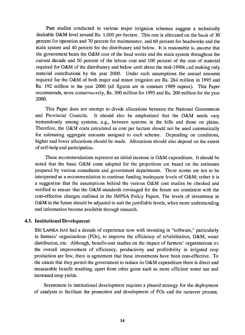Past studies conducted in various major irrigation schemes suggest a technically desirable O&M level around Rs. 1,000 per hectare. This rate is allocated on the basis of 30 percent for operation and 70 percent for maintenance, and 60 percent for headworks and the main system and 40 percent for the distributary and below. It is reasonable to assume that the government bears the O&M cost of the head works and the main system throughout the current decade and 50 percent of the labour cost and 100 percent of the cost of material required for O&M of the distributary and below until about the mid-1990s Lnd making only material contributions by the year 2000. Under such assumptions the annual amounts required for the O&M of both major and minor irrigation are Rs. 264 million in 1995 and Rs. 192 million in the year 2000 (all figures are in constant 1989 rupees). This Paper recommends, more conservatively, Rs. 300 million for 1995 and Rs. 200 million for the year 2000.

This Paper does not attempt to divide allocations between the National Government and Provincial Councils. It should also be emphasized that the O&M needs vary tremendously among systems, e.g., between systems in the hills and those on plains. Therefore, the O&M costs calculated as cost per hectare should not be used automatically for estimating aggregate amounts assigned to each scheme. Depending on conditions, higher and lower allocations should be made. Allocations should also depend on the extent of self-help and participation.

These recommendations represent an initial increase in O&M expenditure. It should be noted that the basic O&M costs adopted for the projections are based on the estimates prepared by various consultants and government departments. These norms are not to be interpreted as a recommendation to continue funding inadequate levels of O&M; rather it is a suggestion that the assumptions behind the various O&M cost studies be checked and verified to ensure that the O&M standards envisaged for the future are consistent with the cost-effective changes outlined in the IMPSA Policy Papers. The levels of investment in O&M in the future should be adjusted to suit the justifiable levels, when more understanding and information become available through research.

#### 4.3. Institutional Development

SRI LANKA **HAS** had a decade of experience now with investing in "software," particularly in farmers' organizations (FOs), to improve the efficiency of rehabilitation, O&M, water distribution, etc. Although, benefit-cost studies on the impact of farmers' organizations on the overall improvement of efficiency, productivity and profitability in irrigated crop production are few, there is agreement that these investments have been cost-effective. To the extent that they permit the government to reduce its O&M expenditure there is direct and measurable benefit resulting, apart from other gains such as more efficient water use and increased crop yields.

Investment in institutional development requires a phased strategy for the deployment of catalysts to facilitate the promotion and development of FOs and the turnover process.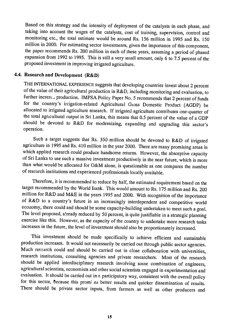Based on this strategy and the intensity of deployment of the catalysts in each phase, and taking into account the wages of the catalysts, cost of training, supervision, control and monitoring etc., the total estimate would be around Rs. 156 million in 1995 and Rs. 150 million in 2000. For estimating sector investments, given the importance of this component, the paper recommends Rs. 200 million in each of these years, assuming a period of phased expansion from 1992 to 1995. This is still a very small amount, only 6 to 7.5 percent of the proposed investment in improving irrigated agriculture.

### 4.4. Research and Development (R&D)

THE INTERNATIONAL EXPERIENCE suggests that developing countries invest about 2 percent of the value of their agricultural production in R&D, including monitoring and evaluation, to further increas, production. IMPSA Policy Paper No. 5 recommends that 2 percent of funds for the country's irrigation-related Agricultural Gioss Domestic Product (AGDP) be allocated to irrigated agriculture research. If irrigated agriculture contributes one-quarter of the total agricultural output in Sri Lanka, this means that 0.5 percent of the value of a GDP should be devoted to R&D for modernizing, expanding and upgrading this sector's operation.

Such a target suggests that Rs. 350 million should be devoted to R&D of irrigated agriculture in 1995 and Rs. 410 million in the year 2000. There are many promising areas in which applied research could produce handsome returns. However, the absorptive capacity of Sri Lanka to use such a massive investment productively in the near future, which is more than what would be allocated for O&M alone, is questionable as one compares the number of research institutions and experienced professionals locally available.

Therefore, it is recommended to reduce by half, the estimated requirement based on the target recommended by the World Bank. This would amount to Rs. 175 million and Rs. 200 million for R&D and M&E in the years 1995 and 2000. With recognition of the importance of R&D to a country's future in an increasingly interdependent and competitive world economy, there could and should be some capacity-building undertaken to meet such a goal. The level proposed, a!ready reduced by 50 percent, is quite justifiable in a strategic planning exercise like this. However, as the capacity of the country to undertake more research tasks increases in the future, the level of investment should also be proportionately increased.

This investment should be made specifically to achieve efficient and sustainable production increases. It would not necessarily be carried out through public sector agencies. Much rescarch could and should be carried out in close collaboration with universities, research institutions, consulting agencies and private researchers. Most of the research should be applied interdisciplinary research involving some combination of engineers, agricultural scientists, economists and other social scientists engaged in experimentation and evaluation. It should be carried out in a participatory way, consistent with the overall policy for this sector, because this promi es better results and quicker dissemination of results. There should be private sector inputs, from farmers as well as other producers and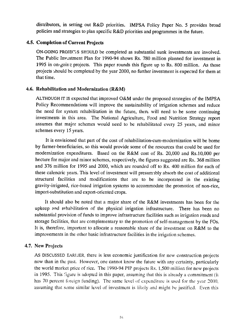distributors, in setting out R&D priorities. IMPSA Policy Paper No. 5 provides broad policies and strategies to plan specific R&D priorities and programmes in the future.

## **4.5. Completion of Current Projects**

ON-GOING PROJECTS SHOULD be completed as substantial sunk investments are involved. The Public Investment Plan for 1990-94 shows Rs. 780 million planned for investment in 1995 in on-going projects. This paper rounds this figure up to Rs. 800 million. As those projects should be completed by the year 2000, no further investment is expected for them at that time.

#### 4.6. Rehabilitation and Modernization (R&M)

**ALTHOUGH** IT**IS**expected that improved O&M under the proposed strategies of the **IMPSA**  Policy Recommendations will improve the sustainability of irrigation schemes and reduce the need for system rehabilitation in the future, there will need to be some continuing investments in this area. The National Agriculture, Food and Nutrition Strategy report assumes that major schemes would need to be rehabilitated every 25 years, and minor schemes every 15 years.

It is envisioned that part of the cost of rehabilitation-cum-modernization will be borne by farmer-beneficiaries, so this would provide some of the resources that could be used for modernization expenditures. Based on the R&M cost of Rs. 20,000 and Rs.10,000 per hectare for major and minor schemes, respectively, the figures suggested are Rs. 368 million and 376 million for 1995 and 2000, which are rounded off to Rs. 400 million for each of these calenoric years. This level of investment will presumably absorb the cost of additional structural facilities and modifications that are to be incorporated in the existing gravity-irrigated, rice-based irrigation systems to accommodate the promotion of non-rice, import-substitution and export-oriented crops.

It should also be noted that a major share of the R&M investments has been for the upkeep and rehabilitation of the physical irrigation infrastructure. There has been no substantial provision of funds to improve infrastructure facilities such as irrigation roads and storage facilities, that are complementary to the promotion of self-management by the FOs. It is, therefore, important to allocate a reasonable share of the investment on R&M to the improvements in the other basic infrastructure facilities in the irrigation schemes.

#### 4.7. New Projects

**AS** DISCUSSED EARLIER, there is less economic justification for new construction projects now than in the past. However, one cannot know the future with any certainty, particularly the world market price of rice. The 1990-94 PIP projects Rs. **1,500** million for new projects in 1995. This 'igure is adopted in this paper, assuming that this is already a commitment (it has 70 percent foreign funding). The same level of expenditure is used for the year 2000, assuming that some similar level of investment is likely and might be justified. Even this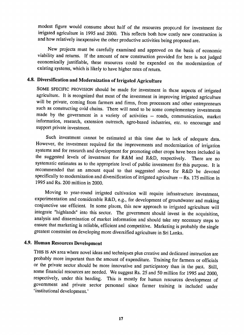modest figure would consume about half of the resources proposed for investment for irrigated agriculture in 1995 and 2000. This reflects both how costly new construction is and how relatively inexpensive the other productive activities being proposed are.

New projects must be carefully examined and approved on the basis of economic viability and returns. If the amount of new construction provided for here is not judged economically justifiable, these resources could be expended on the modernization of existing systems, which is likely to have higher rates of return.

# **4.8. Diversification and Modernization of Irrigated Agriculture**

SOME SPECIFIC PROVISION should be made for investment in these aspects of irrigated agriculture. It is recognized that most of the investment in improving irrigated agriculture will be private, coming from farmers and firms, from processors and other entrepreneurs such as constructing cold chains. There will need to be some complementary investments made by the government in a variety of activities -- roads, communication, market information, research, extension outreach, agro-based industries, etc. to encourage and support private investment.

Such investment cannot be estimated at this time due to lack of adequate data. However, the investment required for the improvements and modernization of irrigation systems and for research and development for promoting other crops have been included in the suggested levels of investment for R&M and R&D, respectively. There are no systematic estimates as to the appropriate level of public investment for this purpose. It is recommended that an amount equal to that suggested above for R&D be devoted specifically to modernization and diversification of irrigated agriculture -- Rs. 175 million in 1995 and Rs. 200 million in 2000.

Moving to year-round irrigated cultivation will require infrastructure investment, experimentation and considerable R&D, e.g., for development of groundwater and making conjunctive use efficient. In some places, this new approach to irrigated agriculture will integrate "highlands" into this sector. The government should invest in the acquisition, analysis and dissemination of market information and should take any necessary steps to ensure that marketing is reliable, efficient and competitive. Marketing is probably the single greatest constraint on developing more diversified agriculture in Sri Lanka.

#### **4.9. Human Resources Development**

THIS IS AN area where novel ideas and techniques plus creative and dedicated instruction are probably more important than the amount of expenditure. Training for farmers or officials or the private sector should be more innovative and participatory than in the past. Still, some financial resources are needed. We suggest Rs. 25 and 50 million for 1995 and 2000, respectively, under this heading. This is mostly for human resources development of government and private sector personnel since farmer training is included under 'institutional development.'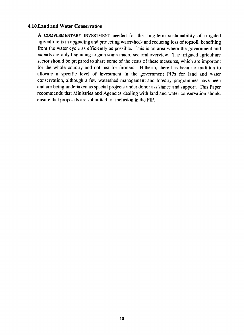#### **4.10.Land and Water Conservation**

**A** COMPLEMENTARY **INVESTMENT** needed for the long-term sustainability of irrigated agriculture is in upgrading and protecting watersheds and reducing loss of topsoil, benefiting from the water cycle as efficiently as possible. This is an area where the government and experts are only beginning to gain some macro-sectoral overview. The irrigated agriculture sector should be prepared to share some of the costs of these measures, which are important for the whole country and not just for farmers. Hitherto, there has been no tradition to allocate a specific level of investment in the government PIPs for land and water conservation, although a few watershed management and forestry programmes have been and are being undertaken as special projects under donor assistance and support. This Paper recommends that Ministries and Agencies dealing with land and water conservation should ensure that proposals are submitted for inclusion in the PIP.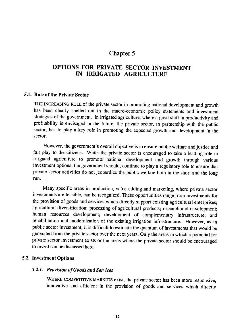# **OPTIONS** FOR PRIVATE SECTOR **INVESTMENT IN** IRRIGATED **AGRICULTURE**

#### **5.1.** Role of the Private Sector

THE INCREASING ROLE of the private sector in promoting national development and growth has been clearly spelled out in the macro-economic policy statements and investment strategies of the government. In irrigated agriculture, where a great shift in productivity and profitability is envisaged in the future, the private sector, in partnership with the public sector, has to play a key role in promoting the expected growth and development in the sector.

However, the government's overall objective is to ensure public welfare and justice and fair play to the citizens. While the private sector is encouraged to take a leading role in irrigated agriculture to promote national development and growth through various investment options, the government should, continue to play a regulatory role to ensure that private sector activities do not jeopardize the public welfare both in the short and the long run.

Many specific areas in production, value adding .and marketing, where private sector investments are feasible, can be recognized. These opportunities range from investments for the provision of goods and services which directly support existing agricultural enterprises; agricultural diversification; processing of agricultural products; research and development; human resources development; development of complementary infrastructure; and rehabilitation and modernization of the existing irrigation infrastructure. However, as in public sector investment, it is difficult to estimate the quantum of investments that would be generated from the private sector over the next years. Only the areas in which a potential for private sector investment exists or the areas where the private sector should be encouraged to invest can be discussed here.

#### **5.2. Investment Options**

#### *5.2.1. ProvisionofGoodsandServices*

WHERE COMPETITIVE MARKETS exist, the private sector has been more responsive, innovative and efficient in the provision of goods and services which directly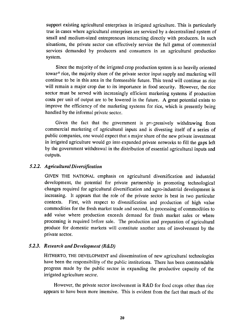support existing agricultural enterprises in irrigated agriculture. This is particularly true in cases where agricultural enterprises are serviced by a decentralized system of small and medium-sized entrepreneurs interacting directly with producers. In such situations, the private sector can effectively service the full gamut of commercial services demanded by producers and consumers in an agricultural production system.

Since the majority of the irrigated crop production system is so heavily oriented towar<sup> $\lambda$ </sup> rice, the majority share of the private sector input supply and marketing will continue to be in this area in the foreseeable future. This trend will continue as rice will remain a major crop due to its importance in food security. However, the rice sector must be served with increasingly efficient marketing systems if production costs per unit of output are to be lowered in the future. A great potential exists to improve the efficiency of the marketing systems for rice, which is presently being handled by the informal private sector.

Given the fact that the government is progressively withdrawing from commercial marketing **ef** agricultural inputs and is divesting itself of a series of public companies, one would expect that a major share of the new private investment in irrigated agriculture would go into expanded private networks to fill the gaps left by the government withdrawal in the distribution of essential agricultural inputs and outputs.

#### *5.2.2. Agricultural Diversification*

GIVEN THE **NATIONAL** emphasis on agricultural diversification and industrial development, the potential for private partnership in promoting technological changes required for agricultural diversification and agro-industrial development is increasing. It appears that the role of the private sector is best in two particular contexts. First, with respect to diversification and production of high value commodities for the fresh market trade and second, in processing of commodities to add value where production exceeds demand for fresh market sales or where processing is required before sale. The production and preparation of agricultural produce for domestic markets will constitute another area of involvement by the private sector.

#### *5.2.3. Research and Development (R&D)*

HITHERTO, THE DEVELOPMENT and dissemination of new agricultural technologies have been the responsibility of the public institutions. There has been commendable progress made by the public sector in expanding the productive capacity of the irrigated agriculture sector.

However, the private sector involvement in R&D for food crops other than rice appears to have been more intensive. This is evident from the fact that much of the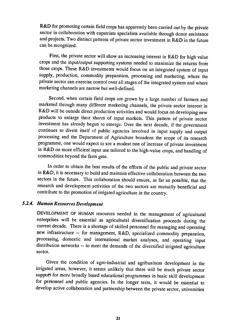R&D for promoting certain field crops has apparently been carried out by the private sector in collaboration with expatriate specialists available through donor assistance and projects. Two distinct patterns of private sector investment in R&D in the future can be recognized.

First, the private sector will show an increasing interest in R&D for high value crops and the input/output supporting systems needed to maximize the returns from those crops. These R&D investments would focus on an integrated system of input supply, production, commodity preparation, processing and marketing, where the private sector can exercise control over all stages of the integrated system and where marketing channels are narrow but well-defined.

Second, when certain field crops are grown by a large number of farmers and marketed through many different marketing channels, the private sector interest in R&D will be outside direct production activities and would focus on developing new products to enlarge their shares of input markets. This pattern of private sector investment has already begun to emerge. Over the next decade, **if** the government continues to divest itself of public agencies involved in input supply and output processing and the Department of Agriculture broadens the scope of its research programme, one would expect to see a modest rate of increase of private investment in R&D on more efficient input use tailored to the high-value crops, and handling of commodities beyond the farm gate.

In order to obtain the best results of the efforts of the public and private sector in R&D, it is necessary to build and maintain effective collaboration between the two sectors in the future. This collaboration should ensure, as far as possible, that the research and development activities of the two sectors are mutually beneficial and contribute to the promotion of irrigated agriculture in the country.

#### *5.2.4. Human Resources Development*

DEVELOPMENT OF HUMAN resources needed in the management of agricultural enterprises will be essential as agricultural diversification proceeds during the current decade. There is a shortage of skilled personnel for managing and operating new infrastructure -- for management, R&D, specialized commodity preparation, processing, domestic and international market analyses, and operating input distribution networks -- to meet the demands of the diversified irrigated agriculture sector.

Given the condition of agro-industrial and agribusiness development in the irrigated areas, however, it seems unlikely that there will be much private sector support for more broadly based educational programmes in basic skill development for personnel and public agencies. In the longer term, it would be essential to develop active collaboration and partnership between the private sector, universities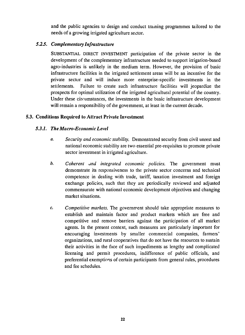and the public agencies to design and conduct training programmes tailored to the needs of a growing irrigated agriculture sector.

## *5.2.5. ComplementaryInfrastructure*

SUBSTANTIAL DIRECT INVESTMENT participation of the private sector in the development of the complementary infrastructure needed to support irrigation-based agro-industries is unlikely in the medium term. However, the provision of basic infrastructure facilities in the irrigated settlement areas will be an incentive for the private sector and will induce more enterprise-specific investments in the settlements. Failure to create such infrastructure facilities will jeopardize the prospects for optimal utilization of the irrigated agricultural potential of the country. Under these circumstances, the investments in the basic infrastructure development will remain a responsibility of the government, at least in the current decade.

## **5.3. Conditions Required to Attract Private Investment**

## *5.3.1. The Macro-EconomicLevel*

- *a.* Security and economic stability. Demonstrated security from civil unrest and national economic stability are two essential pre-requisites to promote private sector investment in irrigated agriculture.
- *b. Coherent and integrated economic policies.* The government must demonstrate its responsiveness to the private sector concerns and technical competence in dealing with trade, tariff, taxation investment and foreign exchange policies, such that they are periodically reviewed and adjusted commensurate with national economic development objectives and changing market situations.
- *c. Competitive markets.* The government should take appropriate measures to establish and maintain factor and product markets which are free and competitive and remove barriers against the participation of all market agents. In the present context, such measures are particularly important for encouraging investments by smaller commercial companies, farmers' organizations, and rural cooperatives that do not have the resources to sustain their activities in the face of such impediments as lengthy and complicated licensing and permit procedures, indifference of public officials, and preferential exemptions of certain participants from general rules, procedures and fee schedules.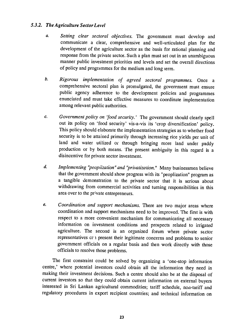## 5.3.2. The Agriculture Sector Level

- *a. Setting clear sectoral objectives.* The government must develop and communicate a clear, comprehensive and well-articulated plan for the development of the agriculture sector as the basis for rational planning and response from the private sector. Such a plan must set out in an unambiguous manner public investment priorities and levels and set the overall directions of policy and programmes for the medium and long term.
- *b. Rigorous implementation of agreed sectoral programmes.* Once a comprehensive sectoral plan is promulgated, the government must ensure public agency adherence to the development policies and programmes enunciated and must take effective measures to coordinate implementation among relevant public authorities.
- *c. Government policy on 'food security.'* The government should clearly spell out its policy on 'food security' vis-a-vis its 'crop diversification' policy. This policy should elaborate the implementation strategies as to whether food security is to be attained primarily through increasing rice yields per unit of land and water utilized or through bringing more land under paddy production or **by** both means. **The** present ambiguity in this regard is a disincentive for private sector investment.
- *d. Implementing "peopiization"and "privatization."* Many businessmen believe that the government should show progress with its "peoplization" program as a tangible demonstration to the private sector that it is serious about withdrawing from commercial activities and turning responsibilities in this area over to the private entrepreneurs.
- *e. Coordination and support mechanisms.* There are two major areas where coordination and support mechanisms need to be improved. The first is with respect to a more convenient mechanism for communicating all necessary information on investment conditions and prospects related to irrigated agriculture. The second is an organized forum where private sector representatives cr i present their legitimate concerns and problems to senior government officials on a regular basis and then work directly with those officials to resolve those problems.

The first constraint could be solved by organizing a 'one-stop information centre,' where potential investors could obtain all the information they need in making their investment decisions. Such a centre should also be at the disposal of current investors so that they could obtain current information on external buyers interested in Sri Lankan agricultural commodities; tariff schedule, non-tariff and regulatory procedures in export recipient countries; and technical information on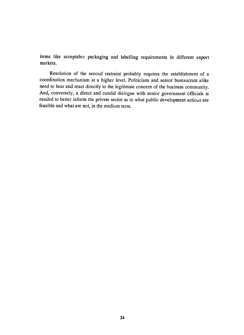items like acceptable packaging and labelling requirements in different export markets.

Resolution of the second restraint probably requires the establishment of a coordination mechanism at a higher level. Politicians and senior bureaucrats alike need to hear and react directly to the legitimate concern of the business community. And, conversely, a direct and candid dialogue with senior government officials is needed to better inform the private sector as to what public development actions are feasible and what are not, in the medium term.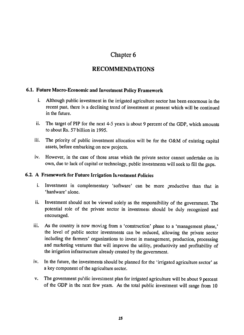# **RECOMMENDATIONS**

### **6.1. Future Macro-Economic and Investment Policy Framework**

- **i.** Although public investment in the irrigated agriculture sector has been enormous in the recent past, there is a declining trend of investment at present which will be continued in the future.
- ii. The target of PIP for the next 4-5 years is about 9 percent of the GDP, which amounts to about Rs. **57** billion in **1995.**
- iii. The priority of public investment allocation will be for the O&M of existing capital assets, before embarking on new projects.
- iv. However, in the case of those areas which the private sector cannot undertake on its own, due to lack of capital or technology, public investments will seek to fill the gaps.

### 6.2. A Framework for Future Irrigation Investment Policies

- i. Investment in complementary 'software' can be more productive than that in 'hardware' alone.
- ii. Investment should not be viewed solely as the responsibility of the government. The potential role of the private sector in investment should be duly recognized and encouraged.
- iii. As the country is now moving from a 'construction' phase to a 'management phase,' the level of public sector investments can be reduced, allowing the private sector including the farmers' organizations to invest in management, production, processing and marketing ventures that will improve the utility, productivity and profitability of the irrigation infrastructure already created by the government.
- iv. In the future, the investments should be planned for the 'irrigated agriculture sector' as a key component of the agriculture sector.
- v. The government public investment plan for irrigated agriculture will be about 9 percent of the GDP in the next few years. As the total public investment will range from 10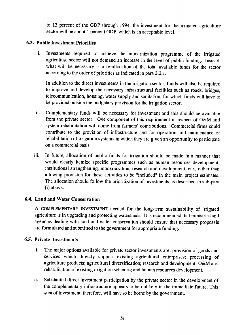to 13 percent of the GDP through 1994, the investment for the irrigated agriculture sector will be about 1 percent GDP, which is an acceptable level.

## **6.3. Public Investment Priorities**

i. Investments required to achieve the modernization programme of the irrigated agriculture sector will not demand an increase in the level of public funding. Instead, what will be necessary is a re-allocation of the total available funds for the sector according to the order of priorities as indicated in para **3.2.1.** 

In addition to the direct investments in the irrigation sector, funds will also be required to improve and develop the necessary infrastructural facilities such as roads, bridges, telecommunication, housing, water supply and sanitation, for which funds will have to be provided outside the budgetary provision for the irrigation sector.

- ii. Complementary funds will be necessary for investment and this should be available from the private sector. One component of this requirement in respect of O&M and system rehabilitation will come from farmers' contributions. Commercial firms could contribute to the provision of infrastructure **and** for operation and maintenance or rehabilitation of irrigation systems in which they are given an opportunity to participate on a commercial basis.
- iii. In future, allocation of public funds for irrigation should be made in a manner that would clearly itemize specific programmes such as human resources development, institutional strengthening, modernization, research and development, etc., rather than allowing provision for these activities to be "included" in the main project estimates. The allocation should follow the prioritization of investments as described in sub-para (i) above.

# 6.4. **Land and Water Conservation**

**A** COMPLEMENTARY **INVESTMENT** needed for the long-term sustainability of irrigated agriculture is in upgrading and protecting watersheds. It is recommended that ministries and agencies dealing with land and water conservation should ensure that necessary proposals are formulated and submitted to the government for appropriate funding.

#### **6.5. Private Investments**

- **i.** The major options available for private sector investments are: provision of goods and services which directly support existing agricultural enterprises; processing of agriculture products; agricultural diversification; research and development; O&M and rehabilitation of existing irrigation schemes; and human resources development.
- **ii.**  Substantial direct investment participation **by** the private sector in the development of the complementary infrastructure appears to be unlikely in the immediate future. This area of investment, therefore, will have io be borne **by** the government.